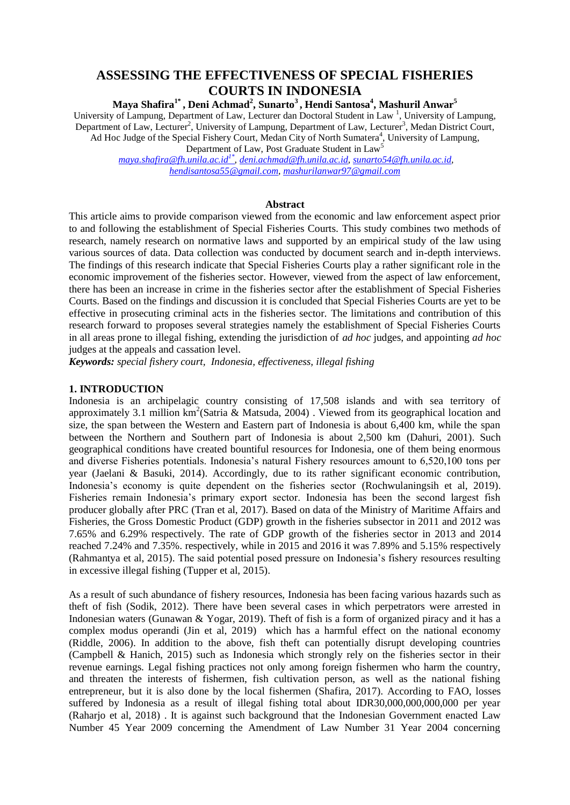# **ASSESSING THE EFFECTIVENESS OF SPECIAL FISHERIES COURTS IN INDONESIA**

**Maya Shafira1\* , Deni Achmad<sup>2</sup> , Sunarto<sup>3</sup> , Hendi Santosa<sup>4</sup> , Mashuril Anwar<sup>5</sup>**

University of Lampung, Department of Law, Lecturer dan Doctoral Student in Law<sup>1</sup>, University of Lampung, Department of Law, Lecturer<sup>2</sup>, University of Lampung, Department of Law, Lecturer<sup>3</sup>, Medan District Court, Ad Hoc Judge of the Special Fishery Court, Medan City of North Sumatera<sup>4</sup>, University of Lampung, Department of Law, Post Graduate Student in Law<sup>5</sup>

*[maya.shafira@fh.unila.ac.id](mailto:maya.shafira@fh.unila.ac.id1*)1\* , [deni.achmad@fh.unila.ac.id,](mailto:deni.achmad@fh.unila.ac.id) [sunarto54@fh.unila.ac.id,](mailto:sunarto54@fh.unila.ac.id) [hendisantosa55@gmail.com,](mailto:hendisantosa55@gmail.com) [mashurilanwar97@gmail.com](mailto:mashurilanwar97@gmail.com)*

### **Abstract**

This article aims to provide comparison viewed from the economic and law enforcement aspect prior to and following the establishment of Special Fisheries Courts. This study combines two methods of research, namely research on normative laws and supported by an empirical study of the law using various sources of data. Data collection was conducted by document search and in-depth interviews. The findings of this research indicate that Special Fisheries Courts play a rather significant role in the economic improvement of the fisheries sector. However, viewed from the aspect of law enforcement, there has been an increase in crime in the fisheries sector after the establishment of Special Fisheries Courts. Based on the findings and discussion it is concluded that Special Fisheries Courts are yet to be effective in prosecuting criminal acts in the fisheries sector. The limitations and contribution of this research forward to proposes several strategies namely the establishment of Special Fisheries Courts in all areas prone to illegal fishing, extending the jurisdiction of *ad hoc* judges, and appointing *ad hoc*  judges at the appeals and cassation level.

*Keywords: special fishery court, Indonesia, effectiveness, illegal fishing*

### **1. INTRODUCTION**

Indonesia is an archipelagic country consisting of 17,508 islands and with sea territory of approximately 3.1 million  $km^2$ (Satria & Matsuda, 2004). Viewed from its geographical location and size, the span between the Western and Eastern part of Indonesia is about 6,400 km, while the span between the Northern and Southern part of Indonesia is about 2,500 km (Dahuri, 2001). Such geographical conditions have created bountiful resources for Indonesia, one of them being enormous and diverse Fisheries potentials. Indonesia's natural Fishery resources amount to 6,520,100 tons per year (Jaelani & Basuki, 2014). Accordingly, due to its rather significant economic contribution, Indonesia's economy is quite dependent on the fisheries sector (Rochwulaningsih et al, 2019). Fisheries remain Indonesia's primary export sector. Indonesia has been the second largest fish producer globally after PRC (Tran et al, 2017). Based on data of the Ministry of Maritime Affairs and Fisheries, the Gross Domestic Product (GDP) growth in the fisheries subsector in 2011 and 2012 was 7.65% and 6.29% respectively. The rate of GDP growth of the fisheries sector in 2013 and 2014 reached 7.24% and 7.35%. respectively, while in 2015 and 2016 it was 7.89% and 5.15% respectively (Rahmantya et al, 2015). The said potential posed pressure on Indonesia's fishery resources resulting in excessive illegal fishing (Tupper et al, 2015).

As a result of such abundance of fishery resources, Indonesia has been facing various hazards such as theft of fish (Sodik, 2012). There have been several cases in which perpetrators were arrested in Indonesian waters (Gunawan & Yogar, 2019). Theft of fish is a form of organized piracy and it has a complex modus operandi (Jin et al, 2019) which has a harmful effect on the national economy (Riddle, 2006). In addition to the above, fish theft can potentially disrupt developing countries (Campbell & Hanich, 2015) such as Indonesia which strongly rely on the fisheries sector in their revenue earnings. Legal fishing practices not only among foreign fishermen who harm the country, and threaten the interests of fishermen, fish cultivation person, as well as the national fishing entrepreneur, but it is also done by the local fishermen (Shafira, 2017). According to FAO, losses suffered by Indonesia as a result of illegal fishing total about IDR30,000,000,000,000 per year (Raharjo et al, 2018) . It is against such background that the Indonesian Government enacted Law Number 45 Year 2009 concerning the Amendment of Law Number 31 Year 2004 concerning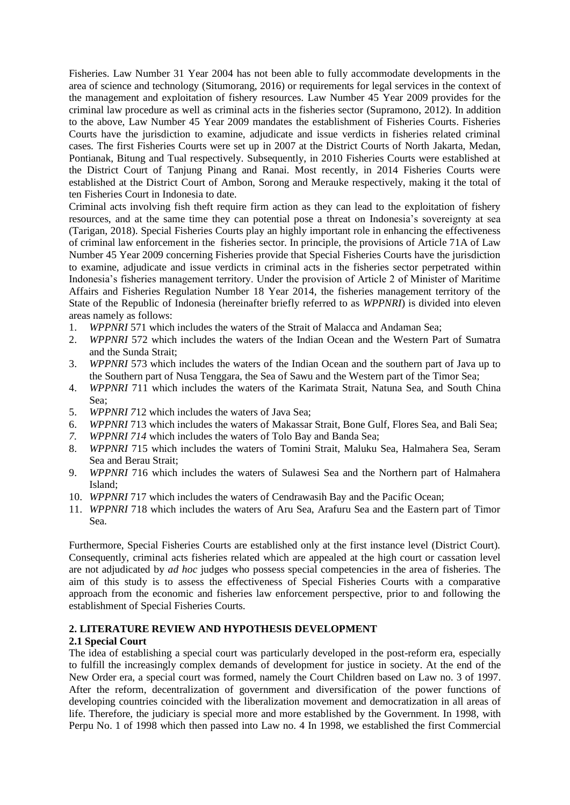Fisheries. Law Number 31 Year 2004 has not been able to fully accommodate developments in the area of science and technology (Situmorang, 2016) or requirements for legal services in the context of the management and exploitation of fishery resources. Law Number 45 Year 2009 provides for the criminal law procedure as well as criminal acts in the fisheries sector (Supramono, 2012). In addition to the above, Law Number 45 Year 2009 mandates the establishment of Fisheries Courts. Fisheries Courts have the jurisdiction to examine, adjudicate and issue verdicts in fisheries related criminal cases. The first Fisheries Courts were set up in 2007 at the District Courts of North Jakarta, Medan, Pontianak, Bitung and Tual respectively. Subsequently, in 2010 Fisheries Courts were established at the District Court of Tanjung Pinang and Ranai. Most recently, in 2014 Fisheries Courts were established at the District Court of Ambon, Sorong and Merauke respectively, making it the total of ten Fisheries Court in Indonesia to date.

Criminal acts involving fish theft require firm action as they can lead to the exploitation of fishery resources, and at the same time they can potential pose a threat on Indonesia's sovereignty at sea (Tarigan, 2018). Special Fisheries Courts play an highly important role in enhancing the effectiveness of criminal law enforcement in the fisheries sector. In principle, the provisions of Article 71A of Law Number 45 Year 2009 concerning Fisheries provide that Special Fisheries Courts have the jurisdiction to examine, adjudicate and issue verdicts in criminal acts in the fisheries sector perpetrated within Indonesia's fisheries management territory. Under the provision of Article 2 of Minister of Maritime Affairs and Fisheries Regulation Number 18 Year 2014, the fisheries management territory of the State of the Republic of Indonesia (hereinafter briefly referred to as *WPPNRI*) is divided into eleven areas namely as follows:

- 1. *WPPNRI* 571 which includes the waters of the Strait of Malacca and Andaman Sea;
- 2. *WPPNRI* 572 which includes the waters of the Indian Ocean and the Western Part of Sumatra and the Sunda Strait;
- 3. *WPPNRI* 573 which includes the waters of the Indian Ocean and the southern part of Java up to the Southern part of Nusa Tenggara, the Sea of Sawu and the Western part of the Timor Sea;
- 4. *WPPNRI* 711 which includes the waters of the Karimata Strait, Natuna Sea, and South China Sea;
- 5. *WPPNRI 7*12 which includes the waters of Java Sea;
- 6. *WPPNRI* 713 which includes the waters of Makassar Strait, Bone Gulf, Flores Sea, and Bali Sea;
- *7. WPPNRI 714* which includes the waters of Tolo Bay and Banda Sea;
- 8. *WPPNRI* 715 which includes the waters of Tomini Strait, Maluku Sea, Halmahera Sea, Seram Sea and Berau Strait;
- 9. *WPPNRI* 716 which includes the waters of Sulawesi Sea and the Northern part of Halmahera Island;
- 10. *WPPNRI* 717 which includes the waters of Cendrawasih Bay and the Pacific Ocean;
- 11. *WPPNRI* 718 which includes the waters of Aru Sea, Arafuru Sea and the Eastern part of Timor Sea.

Furthermore, Special Fisheries Courts are established only at the first instance level (District Court). Consequently, criminal acts fisheries related which are appealed at the high court or cassation level are not adjudicated by *ad hoc* judges who possess special competencies in the area of fisheries. The aim of this study is to assess the effectiveness of Special Fisheries Courts with a comparative approach from the economic and fisheries law enforcement perspective, prior to and following the establishment of Special Fisheries Courts.

### **2. LITERATURE REVIEW AND HYPOTHESIS DEVELOPMENT**

### **2.1 Special Court**

The idea of establishing a special court was particularly developed in the post-reform era, especially to fulfill the increasingly complex demands of development for justice in society. At the end of the New Order era, a special court was formed, namely the Court Children based on Law no. 3 of 1997. After the reform, decentralization of government and diversification of the power functions of developing countries coincided with the liberalization movement and democratization in all areas of life. Therefore, the judiciary is special more and more established by the Government. In 1998, with Perpu No. 1 of 1998 which then passed into Law no. 4 In 1998, we established the first Commercial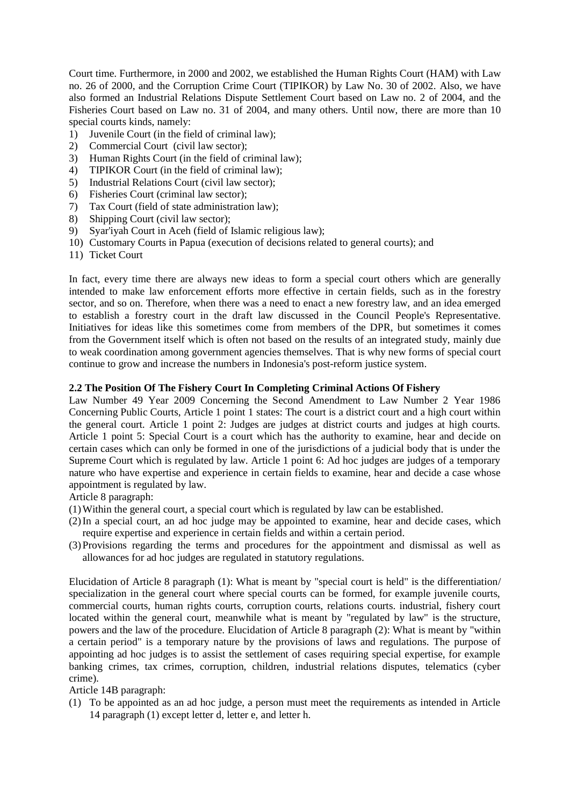Court time. Furthermore, in 2000 and 2002, we established the Human Rights Court (HAM) with Law no. 26 of 2000, and the Corruption Crime Court (TIPIKOR) by Law No. 30 of 2002. Also, we have also formed an Industrial Relations Dispute Settlement Court based on Law no. 2 of 2004, and the Fisheries Court based on Law no. 31 of 2004, and many others. Until now, there are more than 10 special courts kinds, namely:

- 1) Juvenile Court (in the field of criminal law);
- 2) Commercial Court (civil law sector);
- 3) Human Rights Court (in the field of criminal law);
- 4) TIPIKOR Court (in the field of criminal law);
- 5) Industrial Relations Court (civil law sector);
- 6) Fisheries Court (criminal law sector);
- 7) Tax Court (field of state administration law);
- 8) Shipping Court (civil law sector);
- 9) Syar'iyah Court in Aceh (field of Islamic religious law);
- 10) Customary Courts in Papua (execution of decisions related to general courts); and
- 11) Ticket Court

In fact, every time there are always new ideas to form a special court others which are generally intended to make law enforcement efforts more effective in certain fields, such as in the forestry sector, and so on. Therefore, when there was a need to enact a new forestry law, and an idea emerged to establish a forestry court in the draft law discussed in the Council People's Representative. Initiatives for ideas like this sometimes come from members of the DPR, but sometimes it comes from the Government itself which is often not based on the results of an integrated study, mainly due to weak coordination among government agencies themselves. That is why new forms of special court continue to grow and increase the numbers in Indonesia's post-reform justice system.

#### **2.2 The Position Of The Fishery Court In Completing Criminal Actions Of Fishery**

Law Number 49 Year 2009 Concerning the Second Amendment to Law Number 2 Year 1986 Concerning Public Courts, Article 1 point 1 states: The court is a district court and a high court within the general court. Article 1 point 2: Judges are judges at district courts and judges at high courts. Article 1 point 5: Special Court is a court which has the authority to examine, hear and decide on certain cases which can only be formed in one of the jurisdictions of a judicial body that is under the Supreme Court which is regulated by law. Article 1 point 6: Ad hoc judges are judges of a temporary nature who have expertise and experience in certain fields to examine, hear and decide a case whose appointment is regulated by law.

Article 8 paragraph:

- (1)Within the general court, a special court which is regulated by law can be established.
- (2)In a special court, an ad hoc judge may be appointed to examine, hear and decide cases, which require expertise and experience in certain fields and within a certain period.
- (3)Provisions regarding the terms and procedures for the appointment and dismissal as well as allowances for ad hoc judges are regulated in statutory regulations.

Elucidation of Article 8 paragraph (1): What is meant by "special court is held" is the differentiation/ specialization in the general court where special courts can be formed, for example juvenile courts, commercial courts, human rights courts, corruption courts, relations courts. industrial, fishery court located within the general court, meanwhile what is meant by "regulated by law" is the structure, powers and the law of the procedure. Elucidation of Article 8 paragraph (2): What is meant by "within a certain period" is a temporary nature by the provisions of laws and regulations. The purpose of appointing ad hoc judges is to assist the settlement of cases requiring special expertise, for example banking crimes, tax crimes, corruption, children, industrial relations disputes, telematics (cyber crime).

Article 14B paragraph:

(1) To be appointed as an ad hoc judge, a person must meet the requirements as intended in Article 14 paragraph (1) except letter d, letter e, and letter h.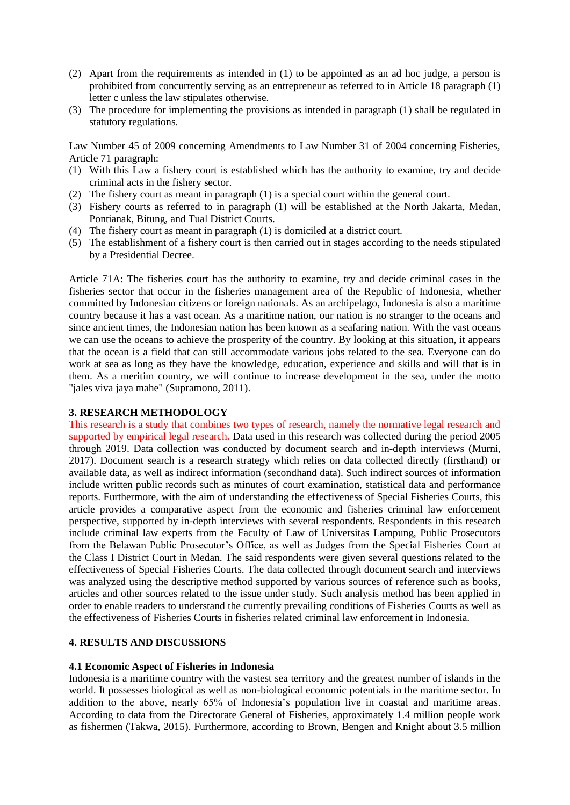- (2) Apart from the requirements as intended in (1) to be appointed as an ad hoc judge, a person is prohibited from concurrently serving as an entrepreneur as referred to in Article 18 paragraph (1) letter c unless the law stipulates otherwise.
- (3) The procedure for implementing the provisions as intended in paragraph (1) shall be regulated in statutory regulations.

Law Number 45 of 2009 concerning Amendments to Law Number 31 of 2004 concerning Fisheries, Article 71 paragraph:

- (1) With this Law a fishery court is established which has the authority to examine, try and decide criminal acts in the fishery sector.
- (2) The fishery court as meant in paragraph (1) is a special court within the general court.
- (3) Fishery courts as referred to in paragraph (1) will be established at the North Jakarta, Medan, Pontianak, Bitung, and Tual District Courts.
- (4) The fishery court as meant in paragraph (1) is domiciled at a district court.
- (5) The establishment of a fishery court is then carried out in stages according to the needs stipulated by a Presidential Decree.

Article 71A: The fisheries court has the authority to examine, try and decide criminal cases in the fisheries sector that occur in the fisheries management area of the Republic of Indonesia, whether committed by Indonesian citizens or foreign nationals. As an archipelago, Indonesia is also a maritime country because it has a vast ocean. As a maritime nation, our nation is no stranger to the oceans and since ancient times, the Indonesian nation has been known as a seafaring nation. With the vast oceans we can use the oceans to achieve the prosperity of the country. By looking at this situation, it appears that the ocean is a field that can still accommodate various jobs related to the sea. Everyone can do work at sea as long as they have the knowledge, education, experience and skills and will that is in them. As a meritim country, we will continue to increase development in the sea, under the motto "jales viva jaya mahe" (Supramono, 2011).

### **3. RESEARCH METHODOLOGY**

This research is a study that combines two types of research, namely the normative legal research and supported by empirical legal research. Data used in this research was collected during the period 2005 through 2019. Data collection was conducted by document search and in-depth interviews (Murni, 2017). Document search is a research strategy which relies on data collected directly (firsthand) or available data, as well as indirect information (secondhand data). Such indirect sources of information include written public records such as minutes of court examination, statistical data and performance reports. Furthermore, with the aim of understanding the effectiveness of Special Fisheries Courts, this article provides a comparative aspect from the economic and fisheries criminal law enforcement perspective, supported by in-depth interviews with several respondents. Respondents in this research include criminal law experts from the Faculty of Law of Universitas Lampung, Public Prosecutors from the Belawan Public Prosecutor's Office, as well as Judges from the Special Fisheries Court at the Class I District Court in Medan. The said respondents were given several questions related to the effectiveness of Special Fisheries Courts. The data collected through document search and interviews was analyzed using the descriptive method supported by various sources of reference such as books, articles and other sources related to the issue under study. Such analysis method has been applied in order to enable readers to understand the currently prevailing conditions of Fisheries Courts as well as the effectiveness of Fisheries Courts in fisheries related criminal law enforcement in Indonesia.

#### **4. RESULTS AND DISCUSSIONS**

#### **4.1 Economic Aspect of Fisheries in Indonesia**

Indonesia is a maritime country with the vastest sea territory and the greatest number of islands in the world. It possesses biological as well as non-biological economic potentials in the maritime sector. In addition to the above, nearly 65% of Indonesia's population live in coastal and maritime areas. According to data from the Directorate General of Fisheries, approximately 1.4 million people work as fishermen (Takwa, 2015). Furthermore, according to Brown, Bengen and Knight about 3.5 million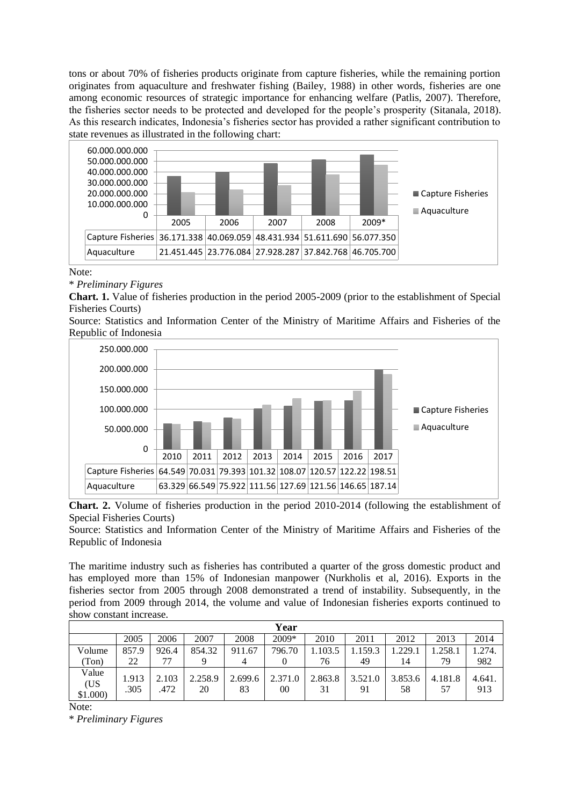tons or about 70% of fisheries products originate from capture fisheries, while the remaining portion originates from aquaculture and freshwater fishing (Bailey, 1988) in other words, fisheries are one among economic resources of strategic importance for enhancing welfare (Patlis, 2007). Therefore, the fisheries sector needs to be protected and developed for the people's prosperity (Sitanala, 2018). As this research indicates, Indonesia's fisheries sector has provided a rather significant contribution to state revenues as illustrated in the following chart:



Note:

\* *Preliminary Figures*

**Chart. 1.** Value of fisheries production in the period 2005-2009 (prior to the establishment of Special Fisheries Courts)

Source: Statistics and Information Center of the Ministry of Maritime Affairs and Fisheries of the Republic of Indonesia



**Chart. 2.** Volume of fisheries production in the period 2010-2014 (following the establishment of Special Fisheries Courts)

Source: Statistics and Information Center of the Ministry of Maritime Affairs and Fisheries of the Republic of Indonesia

The maritime industry such as fisheries has contributed a quarter of the gross domestic product and has employed more than 15% of Indonesian manpower (Nurkholis et al, 2016). Exports in the fisheries sector from 2005 through 2008 demonstrated a trend of instability. Subsequently, in the period from 2009 through 2014, the volume and value of Indonesian fisheries exports continued to show constant increase.

| 2009*<br>2008<br>2010<br>2005<br>2006<br>2007<br>2012<br>2011<br>2013<br>796.70<br>854.32<br>103.5<br>1.159.3<br>.229.1<br>Volume<br>857.9<br>911.67<br>1.258.1<br>926.4         | 2014          |
|----------------------------------------------------------------------------------------------------------------------------------------------------------------------------------|---------------|
|                                                                                                                                                                                  |               |
|                                                                                                                                                                                  | .274.         |
| (Ton)<br>22<br>79<br>76<br>49<br>14<br>4                                                                                                                                         | 982           |
| Value<br>2.863.8<br>2.103<br>2.258.9<br>2.699.6<br>3.521.0<br>3.853.6<br>2.371.0<br>1.913<br>4.181.8<br>(US<br>.305<br>.472<br>20<br>83<br>31<br>00<br>91<br>58<br>57<br>\$1.000 | 4.641.<br>913 |

Note:

\* *Preliminary Figures*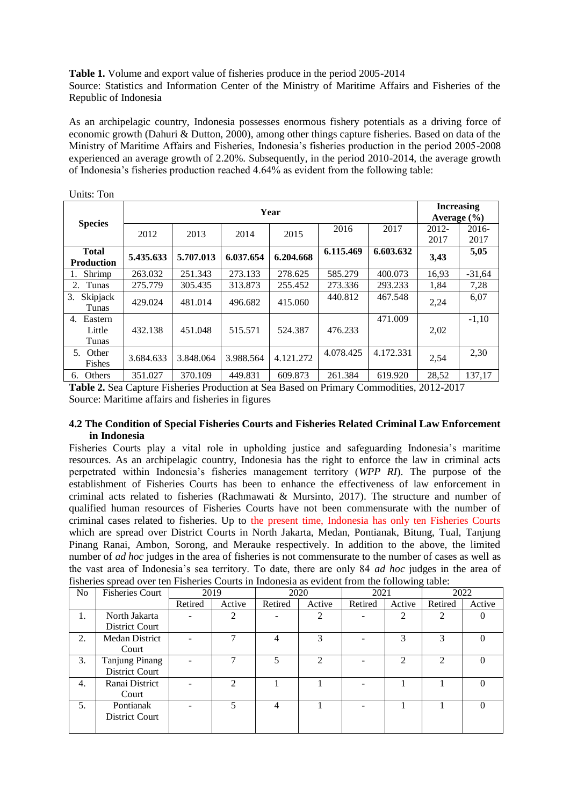**Table 1.** Volume and export value of fisheries produce in the period 2005-2014 Source: Statistics and Information Center of the Ministry of Maritime Affairs and Fisheries of the Republic of Indonesia

As an archipelagic country, Indonesia possesses enormous fishery potentials as a driving force of economic growth (Dahuri & Dutton, 2000), among other things capture fisheries. Based on data of the Ministry of Maritime Affairs and Fisheries, Indonesia's fisheries production in the period 2005-2008 experienced an average growth of 2.20%. Subsequently, in the period 2010-2014, the average growth of Indonesia's fisheries production reached 4.64% as evident from the following table:

| UIIIW. IVII                       |           |                                      |           |           |           |           |               |                 |
|-----------------------------------|-----------|--------------------------------------|-----------|-----------|-----------|-----------|---------------|-----------------|
|                                   |           | <b>Increasing</b><br>Average $(\% )$ |           |           |           |           |               |                 |
| <b>Species</b>                    | 2012      | 2013                                 | 2014      | 2015      | 2016      | 2017      | 2012-<br>2017 | $2016-$<br>2017 |
| <b>Total</b><br><b>Production</b> | 5.435.633 | 5.707.013                            | 6.037.654 | 6.204.668 | 6.115.469 | 6.603.632 | 3,43          | 5,05            |
| Shrimp<br>1.                      | 263.032   | 251.343                              | 273.133   | 278.625   | 585.279   | 400.073   | 16,93         | $-31,64$        |
| Tunas<br>2.                       | 275.779   | 305.435                              | 313.873   | 255.452   | 273.336   | 293.233   | 1,84          | 7,28            |
| 3.<br>Skipjack<br>Tunas           | 429.024   | 481.014                              | 496.682   | 415.060   | 440.812   | 467.548   | 2,24          | 6,07            |
| Eastern<br>4.                     |           |                                      |           |           |           | 471.009   |               | $-1,10$         |
| Little<br>Tunas                   | 432.138   | 451.048                              | 515.571   | 524.387   | 476.233   |           | 2,02          |                 |
| Other<br>5.<br>Fishes             | 3.684.633 | 3.848.064                            | 3.988.564 | 4.121.272 | 4.078.425 | 4.172.331 | 2,54          | 2,30            |
| Others<br>6.                      | 351.027   | 370.109                              | 449.831   | 609.873   | 261.384   | 619.920   | 28,52         | 137,17          |

Units: Ton

**Table 2.** Sea Capture Fisheries Production at Sea Based on Primary Commodities, 2012-2017 Source: Maritime affairs and fisheries in figures

### **4.2 The Condition of Special Fisheries Courts and Fisheries Related Criminal Law Enforcement in Indonesia**

Fisheries Courts play a vital role in upholding justice and safeguarding Indonesia's maritime resources. As an archipelagic country, Indonesia has the right to enforce the law in criminal acts perpetrated within Indonesia's fisheries management territory (*WPP RI*). The purpose of the establishment of Fisheries Courts has been to enhance the effectiveness of law enforcement in criminal acts related to fisheries (Rachmawati & Mursinto, 2017). The structure and number of qualified human resources of Fisheries Courts have not been commensurate with the number of criminal cases related to fisheries. Up to the present time, Indonesia has only ten Fisheries Courts which are spread over District Courts in North Jakarta, Medan, Pontianak, Bitung, Tual, Tanjung Pinang Ranai, Ambon, Sorong, and Merauke respectively. In addition to the above, the limited number of *ad hoc* judges in the area of fisheries is not commensurate to the number of cases as well as the vast area of Indonesia's sea territory. To date, there are only 84 *ad hoc* judges in the area of fisheries spread over ten Fisheries Courts in Indonesia as evident from the following table:

| N <sub>o</sub> | <b>Fisheries Court</b> | 2019    |                | 2020    |        | 2021    |                             | 2022           |        |
|----------------|------------------------|---------|----------------|---------|--------|---------|-----------------------------|----------------|--------|
|                |                        | Retired | Active         | Retired | Active | Retired | Active                      | Retired        | Active |
| 1.             | North Jakarta          |         | $\overline{2}$ |         | 2      |         | 2                           | $\mathfrak{D}$ |        |
|                | District Court         |         |                |         |        |         |                             |                |        |
| 2.             | <b>Medan District</b>  |         | ⇁              | 4       | 3      |         | 3                           | 3              |        |
|                | Court                  |         |                |         |        |         |                             |                |        |
| 3.             | <b>Tanjung Pinang</b>  |         |                | 5       | 2      |         | $\mathcal{D}_{\mathcal{L}}$ | っ              |        |
|                | District Court         |         |                |         |        |         |                             |                |        |
| 4.             | Ranai District         |         | $\mathfrak{D}$ |         |        |         |                             |                | 0      |
|                | Court                  |         |                |         |        |         |                             |                |        |
| 5.             | Pontianak              |         | 5              | 4       |        |         |                             |                |        |
|                | District Court         |         |                |         |        |         |                             |                |        |
|                |                        |         |                |         |        |         |                             |                |        |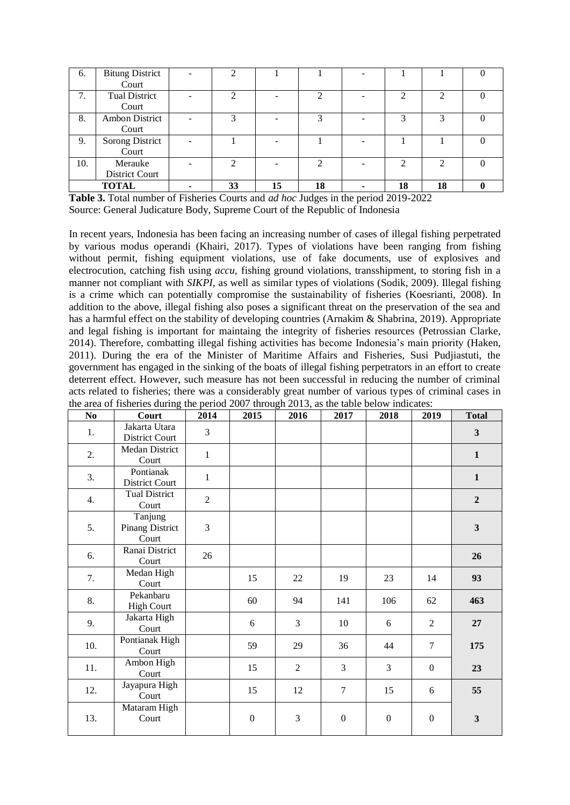| 6.  | <b>Bitung District</b> | $\mathcal{D}$ |    |            |                |    |  |
|-----|------------------------|---------------|----|------------|----------------|----|--|
|     | Court                  |               |    |            |                |    |  |
| 7.  | <b>Tual District</b>   |               |    |            | ◠              |    |  |
|     | Court                  |               |    |            |                |    |  |
| 8.  | <b>Ambon District</b>  | $\mathcal{R}$ |    | $\bigcirc$ | 3              | 3  |  |
|     | Court                  |               |    |            |                |    |  |
| 9.  | Sorong District        |               |    |            |                |    |  |
|     | Court                  |               |    |            |                |    |  |
| 10. | Merauke                | っ             |    | ◠          | $\mathfrak{D}$ | ◠  |  |
|     | District Court         |               |    |            |                |    |  |
|     | <b>TOTAL</b>           | 33            | 15 | 18         | 18             | 18 |  |

**Table 3.** Total number of Fisheries Courts and *ad hoc* Judges in the period 2019-2022

Source: General Judicature Body, Supreme Court of the Republic of Indonesia

In recent years, Indonesia has been facing an increasing number of cases of illegal fishing perpetrated by various modus operandi (Khairi, 2017). Types of violations have been ranging from fishing without permit, fishing equipment violations, use of fake documents, use of explosives and electrocution, catching fish using *accu,* fishing ground violations, transshipment, to storing fish in a manner not compliant with *SIKPI,* as well as similar types of violations (Sodik, 2009). Illegal fishing is a crime which can potentially compromise the sustainability of fisheries (Koesrianti, 2008). In addition to the above, illegal fishing also poses a significant threat on the preservation of the sea and has a harmful effect on the stability of developing countries (Arnakim & Shabrina, 2019). Appropriate and legal fishing is important for maintaing the integrity of fisheries resources (Petrossian Clarke, 2014). Therefore, combatting illegal fishing activities has become Indonesia's main priority (Haken, 2011). During the era of the Minister of Maritime Affairs and Fisheries, Susi Pudjiastuti, the government has engaged in the sinking of the boats of illegal fishing perpetrators in an effort to create deterrent effect. However, such measure has not been successful in reducing the number of criminal acts related to fisheries; there was a considerably great number of various types of criminal cases in the area of fisheries during the period 2007 through 2013, as the table below indicates:

| N <sub>0</sub> | Court                                      | 2014           | 2015             | 2016           | 2017             | 2018             | 2019           | <b>Total</b>   |
|----------------|--------------------------------------------|----------------|------------------|----------------|------------------|------------------|----------------|----------------|
| 1.             | Jakarta Utara<br>District Court            | 3              |                  |                |                  |                  |                | $\mathbf{3}$   |
| 2.             | Medan District<br>Court                    | 1              |                  |                |                  |                  |                | $\mathbf{1}$   |
| 3.             | Pontianak<br>District Court                | 1              |                  |                |                  |                  |                | $\mathbf{1}$   |
| 4.             | <b>Tual District</b><br>Court              | $\overline{2}$ |                  |                |                  |                  |                | $\overline{2}$ |
| 5.             | Tanjung<br><b>Pinang District</b><br>Court | 3              |                  |                |                  |                  |                | $\mathbf{3}$   |
| 6.             | Ranai District<br>Court                    | 26             |                  |                |                  |                  |                | 26             |
| 7.             | Medan High<br>Court                        |                | 15               | 22             | 19               | 23               | 14             | 93             |
| 8.             | Pekanbaru<br><b>High Court</b>             |                | 60               | 94             | 141              | 106              | 62             | 463            |
| 9.             | Jakarta High<br>Court                      |                | 6                | 3              | 10               | 6                | $\mathbf{2}$   | 27             |
| 10.            | Pontianak High<br>Court                    |                | 59               | 29             | 36               | 44               | $\tau$         | 175            |
| 11.            | Ambon High<br>Court                        |                | 15               | $\overline{2}$ | 3                | 3                | $\overline{0}$ | 23             |
| 12.            | Jayapura High<br>Court                     |                | 15               | 12             | $\overline{7}$   | 15               | 6              | 55             |
| 13.            | Mataram High<br>Court                      |                | $\boldsymbol{0}$ | 3              | $\boldsymbol{0}$ | $\boldsymbol{0}$ | $\mathbf{0}$   | $\mathbf{3}$   |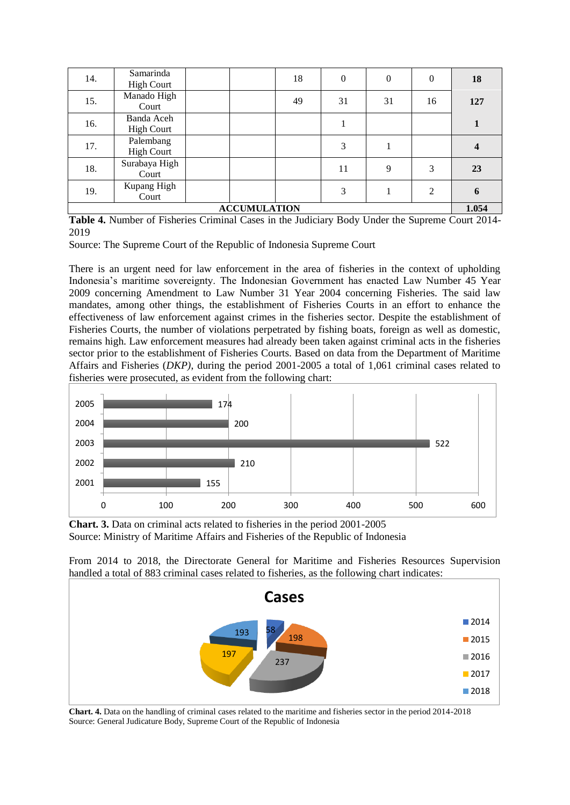| 14.                 | Samarinda<br><b>High Court</b>  |  |  | 18 | $\theta$ | $\theta$ | $\mathbf{0}$   | 18                      |
|---------------------|---------------------------------|--|--|----|----------|----------|----------------|-------------------------|
| 15.                 | Manado High<br>Court            |  |  | 49 | 31       | 31       | 16             | 127                     |
| 16.                 | Banda Aceh<br><b>High Court</b> |  |  |    |          |          |                |                         |
| 17.                 | Palembang<br><b>High Court</b>  |  |  |    | 3        |          |                | $\overline{\mathbf{4}}$ |
| 18.                 | Surabaya High<br>Court          |  |  |    | 11       | 9        | 3              | 23                      |
| 19.                 | Kupang High<br>Court            |  |  |    | 3        |          | $\overline{2}$ | 6                       |
| <b>ACCUMULATION</b> |                                 |  |  |    |          |          |                | 1.054                   |

**Table 4.** Number of Fisheries Criminal Cases in the Judiciary Body Under the Supreme Court 2014- 2019

Source: The Supreme Court of the Republic of Indonesia Supreme Court

There is an urgent need for law enforcement in the area of fisheries in the context of upholding Indonesia's maritime sovereignty. The Indonesian Government has enacted Law Number 45 Year 2009 concerning Amendment to Law Number 31 Year 2004 concerning Fisheries. The said law mandates, among other things, the establishment of Fisheries Courts in an effort to enhance the effectiveness of law enforcement against crimes in the fisheries sector. Despite the establishment of Fisheries Courts, the number of violations perpetrated by fishing boats, foreign as well as domestic, remains high. Law enforcement measures had already been taken against criminal acts in the fisheries sector prior to the establishment of Fisheries Courts. Based on data from the Department of Maritime Affairs and Fisheries (*DKP)*, during the period 2001-2005 a total of 1,061 criminal cases related to fisheries were prosecuted, as evident from the following chart:



**Chart. 3.** Data on criminal acts related to fisheries in the period 2001-2005 Source: Ministry of Maritime Affairs and Fisheries of the Republic of Indonesia

From 2014 to 2018, the Directorate General for Maritime and Fisheries Resources Supervision handled a total of 883 criminal cases related to fisheries, as the following chart indicates:



**Chart. 4.** Data on the handling of criminal cases related to the maritime and fisheries sector in the period 2014-2018 Source: General Judicature Body, Supreme Court of the Republic of Indonesia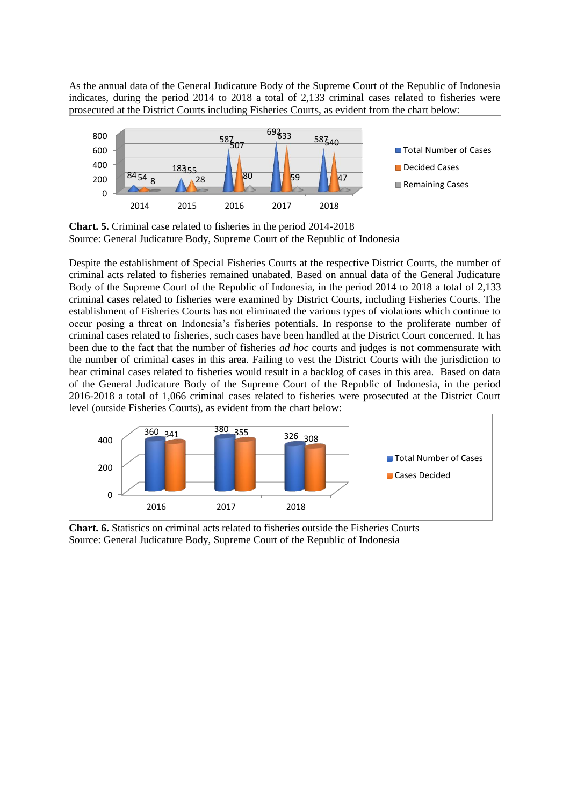As the annual data of the General Judicature Body of the Supreme Court of the Republic of Indonesia indicates, during the period 2014 to 2018 a total of 2,133 criminal cases related to fisheries were prosecuted at the District Courts including Fisheries Courts, as evident from the chart below:



**Chart. 5.** Criminal case related to fisheries in the period 2014-2018 Source: General Judicature Body, Supreme Court of the Republic of Indonesia

Despite the establishment of Special Fisheries Courts at the respective District Courts, the number of criminal acts related to fisheries remained unabated. Based on annual data of the General Judicature Body of the Supreme Court of the Republic of Indonesia, in the period 2014 to 2018 a total of 2,133 criminal cases related to fisheries were examined by District Courts, including Fisheries Courts. The establishment of Fisheries Courts has not eliminated the various types of violations which continue to occur posing a threat on Indonesia's fisheries potentials. In response to the proliferate number of criminal cases related to fisheries, such cases have been handled at the District Court concerned. It has been due to the fact that the number of fisheries *ad hoc* courts and judges is not commensurate with the number of criminal cases in this area. Failing to vest the District Courts with the jurisdiction to hear criminal cases related to fisheries would result in a backlog of cases in this area. Based on data of the General Judicature Body of the Supreme Court of the Republic of Indonesia, in the period 2016-2018 a total of 1,066 criminal cases related to fisheries were prosecuted at the District Court level (outside Fisheries Courts), as evident from the chart below:



**Chart. 6.** Statistics on criminal acts related to fisheries outside the Fisheries Courts Source: General Judicature Body, Supreme Court of the Republic of Indonesia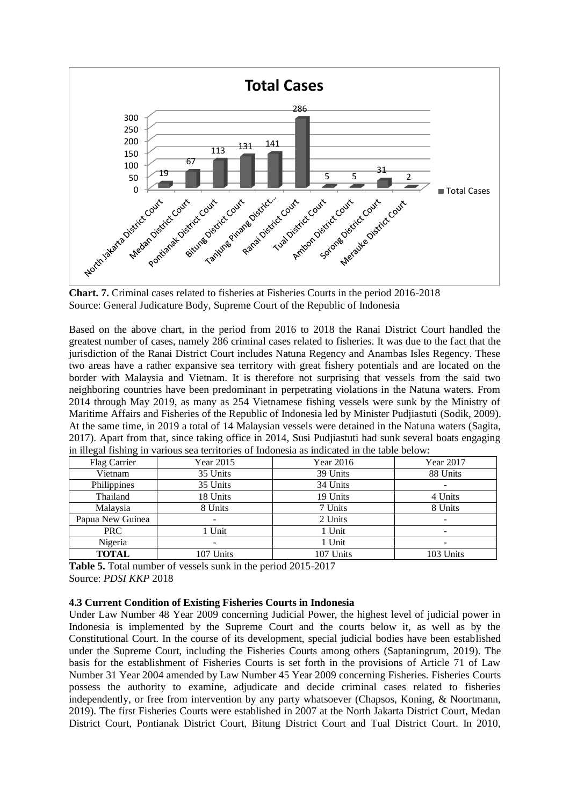

**Chart. 7.** Criminal cases related to fisheries at Fisheries Courts in the period 2016-2018 Source: General Judicature Body, Supreme Court of the Republic of Indonesia

Based on the above chart, in the period from 2016 to 2018 the Ranai District Court handled the greatest number of cases, namely 286 criminal cases related to fisheries. It was due to the fact that the jurisdiction of the Ranai District Court includes Natuna Regency and Anambas Isles Regency. These two areas have a rather expansive sea territory with great fishery potentials and are located on the border with Malaysia and Vietnam. It is therefore not surprising that vessels from the said two neighboring countries have been predominant in perpetrating violations in the Natuna waters. From 2014 through May 2019, as many as 254 Vietnamese fishing vessels were sunk by the Ministry of Maritime Affairs and Fisheries of the Republic of Indonesia led by Minister Pudjiastuti (Sodik, 2009). At the same time, in 2019 a total of 14 Malaysian vessels were detained in the Natuna waters (Sagita, 2017). Apart from that, since taking office in 2014, Susi Pudjiastuti had sunk several boats engaging in illegal fishing in various sea territories of Indonesia as indicated in the table below:

| Flag Carrier     | Year 2015                | Year 2016 | Year 2017 |
|------------------|--------------------------|-----------|-----------|
| Vietnam          | 35 Units                 | 39 Units  | 88 Units  |
| Philippines      | 35 Units                 | 34 Units  |           |
| Thailand         | 18 Units                 | 19 Units  | 4 Units   |
| Malaysia         | 8 Units                  | 7 Units   | 8 Units   |
| Papua New Guinea | $\overline{\phantom{0}}$ | 2 Units   | -         |
| PRC              | 1 Unit                   | 1 Unit    |           |
| Nigeria          | $\overline{\phantom{0}}$ | 1 Unit    |           |
| <b>TOTAL</b>     | 107 Units                | 107 Units | 103 Units |

**Table 5.** Total number of vessels sunk in the period 2015-2017 Source: *PDSI KKP* 2018

### **4.3 Current Condition of Existing Fisheries Courts in Indonesia**

Under Law Number 48 Year 2009 concerning Judicial Power, the highest level of judicial power in Indonesia is implemented by the Supreme Court and the courts below it, as well as by the Constitutional Court. In the course of its development, special judicial bodies have been established under the Supreme Court, including the Fisheries Courts among others (Saptaningrum, 2019). The basis for the establishment of Fisheries Courts is set forth in the provisions of Article 71 of Law Number 31 Year 2004 amended by Law Number 45 Year 2009 concerning Fisheries. Fisheries Courts possess the authority to examine, adjudicate and decide criminal cases related to fisheries independently, or free from intervention by any party whatsoever (Chapsos, Koning, & Noortmann, 2019). The first Fisheries Courts were established in 2007 at the North Jakarta District Court, Medan District Court, Pontianak District Court, Bitung District Court and Tual District Court. In 2010,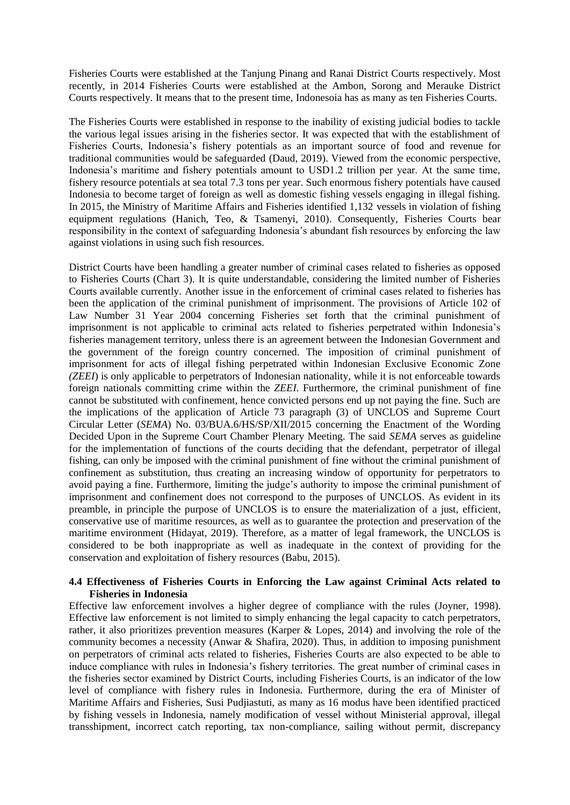Fisheries Courts were established at the Tanjung Pinang and Ranai District Courts respectively. Most recently, in 2014 Fisheries Courts were established at the Ambon, Sorong and Merauke District Courts respectively. It means that to the present time, Indonesoia has as many as ten Fisheries Courts.

The Fisheries Courts were established in response to the inability of existing judicial bodies to tackle the various legal issues arising in the fisheries sector. It was expected that with the establishment of Fisheries Courts, Indonesia's fishery potentials as an important source of food and revenue for traditional communities would be safeguarded (Daud, 2019). Viewed from the economic perspective, Indonesia's maritime and fishery potentials amount to USD1.2 trillion per year. At the same time, fishery resource potentials at sea total 7.3 tons per year. Such enormous fishery potentials have caused Indonesia to become target of foreign as well as domestic fishing vessels engaging in illegal fishing. In 2015, the Ministry of Maritime Affairs and Fisheries identified 1,132 vessels in violation of fishing equipment regulations (Hanich, Teo, & Tsamenyi, 2010). Consequently, Fisheries Courts bear responsibility in the context of safeguarding Indonesia's abundant fish resources by enforcing the law against violations in using such fish resources.

District Courts have been handling a greater number of criminal cases related to fisheries as opposed to Fisheries Courts (Chart 3). It is quite understandable, considering the limited number of Fisheries Courts available currently. Another issue in the enforcement of criminal cases related to fisheries has been the application of the criminal punishment of imprisonment. The provisions of Article 102 of Law Number 31 Year 2004 concerning Fisheries set forth that the criminal punishment of imprisonment is not applicable to criminal acts related to fisheries perpetrated within Indonesia's fisheries management territory, unless there is an agreement between the Indonesian Government and the government of the foreign country concerned. The imposition of criminal punishment of imprisonment for acts of illegal fishing perpetrated within Indonesian Exclusive Economic Zone *(ZEEI*) is only applicable to perpetrators of Indonesian nationality, while it is not enforceable towards foreign nationals committing crime within the *ZEEI*. Furthermore, the criminal punishment of fine cannot be substituted with confinement, hence convicted persons end up not paying the fine. Such are the implications of the application of Article 73 paragraph (3) of UNCLOS and Supreme Court Circular Letter (*SEMA*) No. 03/BUA.6/HS/SP/XII/2015 concerning the Enactment of the Wording Decided Upon in the Supreme Court Chamber Plenary Meeting. The said *SEMA* serves as guideline for the implementation of functions of the courts deciding that the defendant, perpetrator of illegal fishing, can only be imposed with the criminal punishment of fine without the criminal punishment of confinement as substitution, thus creating an increasing window of opportunity for perpetrators to avoid paying a fine. Furthermore, limiting the judge's authority to impose the criminal punishment of imprisonment and confinement does not correspond to the purposes of UNCLOS. As evident in its preamble, in principle the purpose of UNCLOS is to ensure the materialization of a just, efficient, conservative use of maritime resources, as well as to guarantee the protection and preservation of the maritime environment (Hidayat, 2019). Therefore, as a matter of legal framework, the UNCLOS is considered to be both inappropriate as well as inadequate in the context of providing for the conservation and exploitation of fishery resources (Babu, 2015).

### **4.4 Effectiveness of Fisheries Courts in Enforcing the Law against Criminal Acts related to Fisheries in Indonesia**

Effective law enforcement involves a higher degree of compliance with the rules (Joyner, 1998). Effective law enforcement is not limited to simply enhancing the legal capacity to catch perpetrators, rather, it also prioritizes prevention measures (Karper & Lopes, 2014) and involving the role of the community becomes a necessity (Anwar & Shafira, 2020). Thus, in addition to imposing punishment on perpetrators of criminal acts related to fisheries, Fisheries Courts are also expected to be able to induce compliance with rules in Indonesia's fishery territories. The great number of criminal cases in the fisheries sector examined by District Courts, including Fisheries Courts, is an indicator of the low level of compliance with fishery rules in Indonesia. Furthermore, during the era of Minister of Maritime Affairs and Fisheries, Susi Pudjiastuti, as many as 16 modus have been identified practiced by fishing vessels in Indonesia, namely modification of vessel without Ministerial approval, illegal transshipment, incorrect catch reporting, tax non-compliance, sailing without permit, discrepancy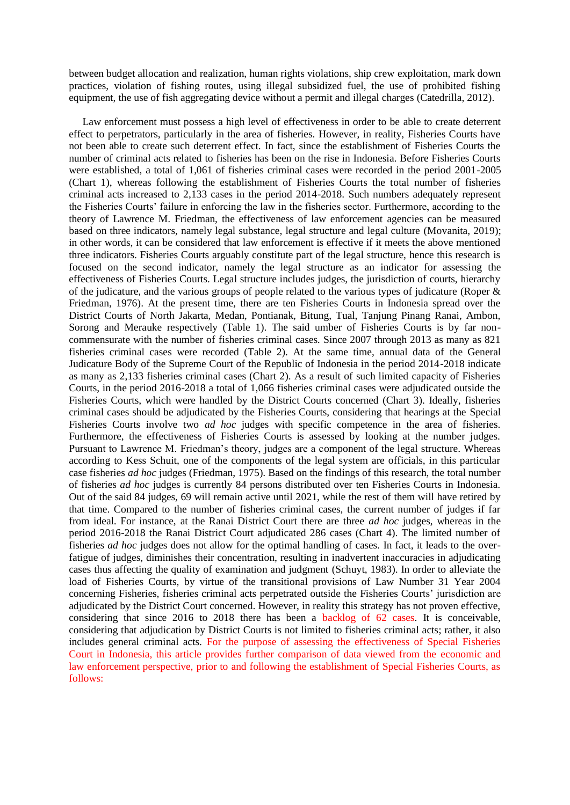between budget allocation and realization, human rights violations, ship crew exploitation, mark down practices, violation of fishing routes, using illegal subsidized fuel, the use of prohibited fishing equipment, the use of fish aggregating device without a permit and illegal charges (Catedrilla, 2012).

Law enforcement must possess a high level of effectiveness in order to be able to create deterrent effect to perpetrators, particularly in the area of fisheries. However, in reality, Fisheries Courts have not been able to create such deterrent effect. In fact, since the establishment of Fisheries Courts the number of criminal acts related to fisheries has been on the rise in Indonesia. Before Fisheries Courts were established, a total of 1,061 of fisheries criminal cases were recorded in the period 2001-2005 (Chart 1), whereas following the establishment of Fisheries Courts the total number of fisheries criminal acts increased to 2,133 cases in the period 2014-2018. Such numbers adequately represent the Fisheries Courts' failure in enforcing the law in the fisheries sector. Furthermore, according to the theory of Lawrence M. Friedman, the effectiveness of law enforcement agencies can be measured based on three indicators, namely legal substance, legal structure and legal culture (Movanita, 2019); in other words, it can be considered that law enforcement is effective if it meets the above mentioned three indicators. Fisheries Courts arguably constitute part of the legal structure, hence this research is focused on the second indicator, namely the legal structure as an indicator for assessing the effectiveness of Fisheries Courts. Legal structure includes judges, the jurisdiction of courts, hierarchy of the judicature, and the various groups of people related to the various types of judicature (Roper & Friedman, 1976). At the present time, there are ten Fisheries Courts in Indonesia spread over the District Courts of North Jakarta, Medan, Pontianak, Bitung, Tual, Tanjung Pinang Ranai, Ambon, Sorong and Merauke respectively (Table 1). The said umber of Fisheries Courts is by far noncommensurate with the number of fisheries criminal cases. Since 2007 through 2013 as many as 821 fisheries criminal cases were recorded (Table 2). At the same time, annual data of the General Judicature Body of the Supreme Court of the Republic of Indonesia in the period 2014-2018 indicate as many as 2,133 fisheries criminal cases (Chart 2). As a result of such limited capacity of Fisheries Courts, in the period 2016-2018 a total of 1,066 fisheries criminal cases were adjudicated outside the Fisheries Courts, which were handled by the District Courts concerned (Chart 3). Ideally, fisheries criminal cases should be adjudicated by the Fisheries Courts, considering that hearings at the Special Fisheries Courts involve two *ad hoc* judges with specific competence in the area of fisheries. Furthermore, the effectiveness of Fisheries Courts is assessed by looking at the number judges. Pursuant to Lawrence M. Friedman's theory, judges are a component of the legal structure. Whereas according to Kess Schuit, one of the components of the legal system are officials, in this particular case fisheries *ad hoc* judges (Friedman, 1975). Based on the findings of this research, the total number of fisheries *ad hoc* judges is currently 84 persons distributed over ten Fisheries Courts in Indonesia. Out of the said 84 judges, 69 will remain active until 2021, while the rest of them will have retired by that time. Compared to the number of fisheries criminal cases, the current number of judges if far from ideal. For instance, at the Ranai District Court there are three *ad hoc* judges, whereas in the period 2016-2018 the Ranai District Court adjudicated 286 cases (Chart 4). The limited number of fisheries *ad hoc* judges does not allow for the optimal handling of cases. In fact, it leads to the overfatigue of judges, diminishes their concentration, resulting in inadvertent inaccuracies in adjudicating cases thus affecting the quality of examination and judgment (Schuyt, 1983). In order to alleviate the load of Fisheries Courts, by virtue of the transitional provisions of Law Number 31 Year 2004 concerning Fisheries, fisheries criminal acts perpetrated outside the Fisheries Courts' jurisdiction are adjudicated by the District Court concerned. However, in reality this strategy has not proven effective, considering that since 2016 to 2018 there has been a backlog of 62 cases. It is conceivable, considering that adjudication by District Courts is not limited to fisheries criminal acts; rather, it also includes general criminal acts. For the purpose of assessing the effectiveness of Special Fisheries Court in Indonesia, this article provides further comparison of data viewed from the economic and law enforcement perspective, prior to and following the establishment of Special Fisheries Courts, as follows: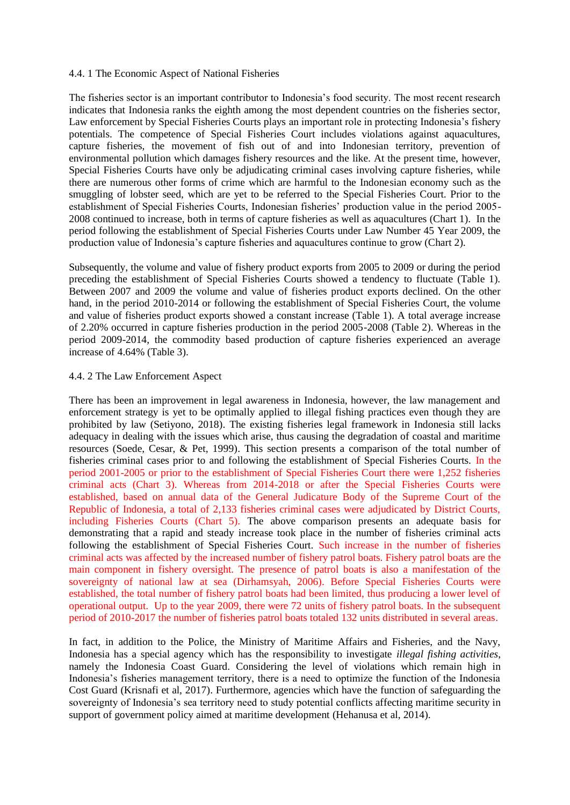#### 4.4. 1 The Economic Aspect of National Fisheries

The fisheries sector is an important contributor to Indonesia's food security. The most recent research indicates that Indonesia ranks the eighth among the most dependent countries on the fisheries sector, Law enforcement by Special Fisheries Courts plays an important role in protecting Indonesia's fishery potentials. The competence of Special Fisheries Court includes violations against aquacultures, capture fisheries, the movement of fish out of and into Indonesian territory, prevention of environmental pollution which damages fishery resources and the like. At the present time, however, Special Fisheries Courts have only be adjudicating criminal cases involving capture fisheries, while there are numerous other forms of crime which are harmful to the Indonesian economy such as the smuggling of lobster seed, which are yet to be referred to the Special Fisheries Court. Prior to the establishment of Special Fisheries Courts, Indonesian fisheries' production value in the period 2005- 2008 continued to increase, both in terms of capture fisheries as well as aquacultures (Chart 1). In the period following the establishment of Special Fisheries Courts under Law Number 45 Year 2009, the production value of Indonesia's capture fisheries and aquacultures continue to grow (Chart 2).

Subsequently, the volume and value of fishery product exports from 2005 to 2009 or during the period preceding the establishment of Special Fisheries Courts showed a tendency to fluctuate (Table 1). Between 2007 and 2009 the volume and value of fisheries product exports declined. On the other hand, in the period 2010-2014 or following the establishment of Special Fisheries Court, the volume and value of fisheries product exports showed a constant increase (Table 1). A total average increase of 2.20% occurred in capture fisheries production in the period 2005-2008 (Table 2). Whereas in the period 2009-2014, the commodity based production of capture fisheries experienced an average increase of 4.64% (Table 3).

#### 4.4. 2 The Law Enforcement Aspect

There has been an improvement in legal awareness in Indonesia, however, the law management and enforcement strategy is yet to be optimally applied to illegal fishing practices even though they are prohibited by law (Setiyono, 2018). The existing fisheries legal framework in Indonesia still lacks adequacy in dealing with the issues which arise, thus causing the degradation of coastal and maritime resources (Soede, Cesar, & Pet, 1999). This section presents a comparison of the total number of fisheries criminal cases prior to and following the establishment of Special Fisheries Courts. In the period 2001-2005 or prior to the establishment of Special Fisheries Court there were 1,252 fisheries criminal acts (Chart 3). Whereas from 2014-2018 or after the Special Fisheries Courts were established, based on annual data of the General Judicature Body of the Supreme Court of the Republic of Indonesia, a total of 2,133 fisheries criminal cases were adjudicated by District Courts, including Fisheries Courts (Chart 5). The above comparison presents an adequate basis for demonstrating that a rapid and steady increase took place in the number of fisheries criminal acts following the establishment of Special Fisheries Court. Such increase in the number of fisheries criminal acts was affected by the increased number of fishery patrol boats. Fishery patrol boats are the main component in fishery oversight. The presence of patrol boats is also a manifestation of the sovereignty of national law at sea (Dirhamsyah, 2006). Before Special Fisheries Courts were established, the total number of fishery patrol boats had been limited, thus producing a lower level of operational output. Up to the year 2009, there were 72 units of fishery patrol boats. In the subsequent period of 2010-2017 the number of fisheries patrol boats totaled 132 units distributed in several areas.

In fact, in addition to the Police, the Ministry of Maritime Affairs and Fisheries, and the Navy, Indonesia has a special agency which has the responsibility to investigate *illegal fishing activities*, namely the Indonesia Coast Guard. Considering the level of violations which remain high in Indonesia's fisheries management territory, there is a need to optimize the function of the Indonesia Cost Guard (Krisnafi et al, 2017). Furthermore, agencies which have the function of safeguarding the sovereignty of Indonesia's sea territory need to study potential conflicts affecting maritime security in support of government policy aimed at maritime development (Hehanusa et al, 2014).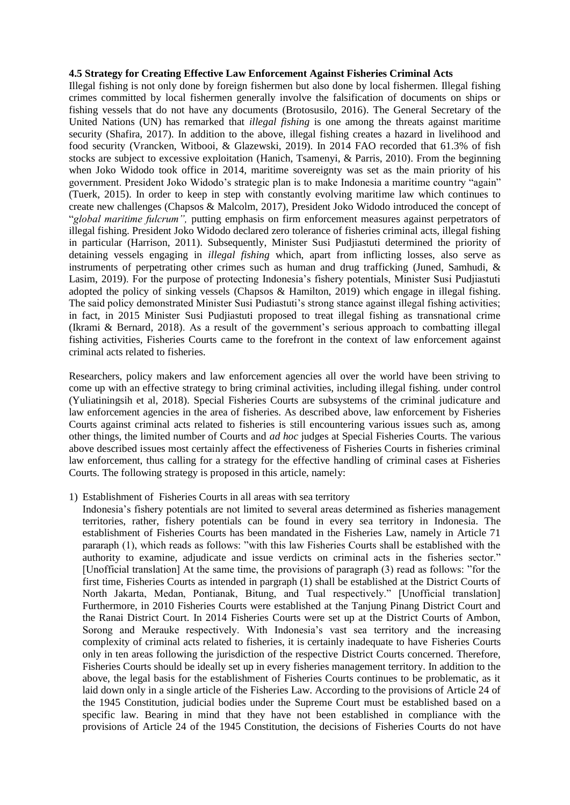#### **4.5 Strategy for Creating Effective Law Enforcement Against Fisheries Criminal Acts**

Illegal fishing is not only done by foreign fishermen but also done by local fishermen. Illegal fishing crimes committed by local fishermen generally involve the falsification of documents on ships or fishing vessels that do not have any documents (Brotosusilo, 2016). The General Secretary of the United Nations (UN) has remarked that *illegal fishing* is one among the threats against maritime security (Shafira, 2017). In addition to the above, illegal fishing creates a hazard in livelihood and food security (Vrancken, Witbooi, & Glazewski, 2019). In 2014 FAO recorded that 61.3% of fish stocks are subject to excessive exploitation (Hanich, Tsamenyi, & Parris, 2010). From the beginning when Joko Widodo took office in 2014, maritime sovereignty was set as the main priority of his government. President Joko Widodo's strategic plan is to make Indonesia a maritime country "again" (Tuerk, 2015). In order to keep in step with constantly evolving maritime law which continues to create new challenges (Chapsos & Malcolm, 2017), President Joko Widodo introduced the concept of "*global maritime fulcrum",* putting emphasis on firm enforcement measures against perpetrators of illegal fishing. President Joko Widodo declared zero tolerance of fisheries criminal acts, illegal fishing in particular (Harrison, 2011). Subsequently, Minister Susi Pudjiastuti determined the priority of detaining vessels engaging in *illegal fishing* which, apart from inflicting losses, also serve as instruments of perpetrating other crimes such as human and drug trafficking (Juned, Samhudi, & Lasim, 2019). For the purpose of protecting Indonesia's fishery potentials, Minister Susi Pudjiastuti adopted the policy of sinking vessels (Chapsos & Hamilton, 2019) which engage in illegal fishing. The said policy demonstrated Minister Susi Pudiastuti's strong stance against illegal fishing activities; in fact, in 2015 Minister Susi Pudjiastuti proposed to treat illegal fishing as transnational crime (Ikrami & Bernard, 2018). As a result of the government's serious approach to combatting illegal fishing activities, Fisheries Courts came to the forefront in the context of law enforcement against criminal acts related to fisheries.

Researchers, policy makers and law enforcement agencies all over the world have been striving to come up with an effective strategy to bring criminal activities, including illegal fishing. under control (Yuliatiningsih et al, 2018). Special Fisheries Courts are subsystems of the criminal judicature and law enforcement agencies in the area of fisheries. As described above, law enforcement by Fisheries Courts against criminal acts related to fisheries is still encountering various issues such as, among other things, the limited number of Courts and *ad hoc* judges at Special Fisheries Courts. The various above described issues most certainly affect the effectiveness of Fisheries Courts in fisheries criminal law enforcement, thus calling for a strategy for the effective handling of criminal cases at Fisheries Courts. The following strategy is proposed in this article, namely:

1) Establishment of Fisheries Courts in all areas with sea territory

Indonesia's fishery potentials are not limited to several areas determined as fisheries management territories, rather, fishery potentials can be found in every sea territory in Indonesia. The establishment of Fisheries Courts has been mandated in the Fisheries Law, namely in Article 71 pararaph (1), which reads as follows: "with this law Fisheries Courts shall be established with the authority to examine, adjudicate and issue verdicts on criminal acts in the fisheries sector." [Unofficial translation] At the same time, the provisions of paragraph (3) read as follows: "for the first time, Fisheries Courts as intended in pargraph (1) shall be established at the District Courts of North Jakarta, Medan, Pontianak, Bitung, and Tual respectively." [Unofficial translation] Furthermore, in 2010 Fisheries Courts were established at the Tanjung Pinang District Court and the Ranai District Court. In 2014 Fisheries Courts were set up at the District Courts of Ambon, Sorong and Merauke respectively. With Indonesia's vast sea territory and the increasing complexity of criminal acts related to fisheries, it is certainly inadequate to have Fisheries Courts only in ten areas following the jurisdiction of the respective District Courts concerned. Therefore, Fisheries Courts should be ideally set up in every fisheries management territory. In addition to the above, the legal basis for the establishment of Fisheries Courts continues to be problematic, as it laid down only in a single article of the Fisheries Law. According to the provisions of Article 24 of the 1945 Constitution, judicial bodies under the Supreme Court must be established based on a specific law. Bearing in mind that they have not been established in compliance with the provisions of Article 24 of the 1945 Constitution, the decisions of Fisheries Courts do not have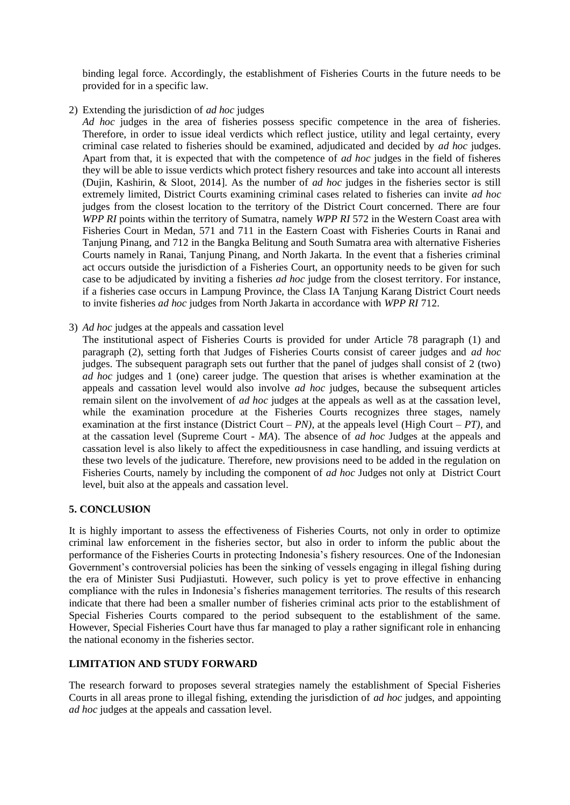binding legal force. Accordingly, the establishment of Fisheries Courts in the future needs to be provided for in a specific law.

2) Extending the jurisdiction of *ad hoc* judges

*Ad hoc* judges in the area of fisheries possess specific competence in the area of fisheries. Therefore, in order to issue ideal verdicts which reflect justice, utility and legal certainty, every criminal case related to fisheries should be examined, adjudicated and decided by *ad hoc* judges. Apart from that, it is expected that with the competence of *ad hoc* judges in the field of fisheres they will be able to issue verdicts which protect fishery resources and take into account all interests (Dujin, Kashirin, & Sloot, 2014]. As the number of *ad hoc* judges in the fisheries sector is still extremely limited, District Courts examining criminal cases related to fisheries can invite *ad hoc*  judges from the closest location to the territory of the District Court concerned. There are four *WPP RI* points within the territory of Sumatra, namely *WPP RI* 572 in the Western Coast area with Fisheries Court in Medan, 571 and 711 in the Eastern Coast with Fisheries Courts in Ranai and Tanjung Pinang, and 712 in the Bangka Belitung and South Sumatra area with alternative Fisheries Courts namely in Ranai, Tanjung Pinang, and North Jakarta. In the event that a fisheries criminal act occurs outside the jurisdiction of a Fisheries Court, an opportunity needs to be given for such case to be adjudicated by inviting a fisheries *ad hoc* judge from the closest territory. For instance, if a fisheries case occurs in Lampung Province, the Class IA Tanjung Karang District Court needs to invite fisheries *ad hoc* judges from North Jakarta in accordance with *WPP RI* 712.

3) *Ad hoc* judges at the appeals and cassation level

The institutional aspect of Fisheries Courts is provided for under Article 78 paragraph (1) and paragraph (2), setting forth that Judges of Fisheries Courts consist of career judges and *ad hoc*  judges. The subsequent paragraph sets out further that the panel of judges shall consist of 2 (two) *ad hoc* judges and 1 (one) career judge. The question that arises is whether examination at the appeals and cassation level would also involve *ad hoc* judges, because the subsequent articles remain silent on the involvement of *ad hoc* judges at the appeals as well as at the cassation level, while the examination procedure at the Fisheries Courts recognizes three stages, namely examination at the first instance (District Court – *PN),* at the appeals level (High Court – *PT),* and at the cassation level (Supreme Court - *MA*). The absence of *ad hoc* Judges at the appeals and cassation level is also likely to affect the expeditiousness in case handling, and issuing verdicts at these two levels of the judicature. Therefore, new provisions need to be added in the regulation on Fisheries Courts, namely by including the component of *ad hoc* Judges not only at District Court level, buit also at the appeals and cassation level.

# **5. CONCLUSION**

It is highly important to assess the effectiveness of Fisheries Courts, not only in order to optimize criminal law enforcement in the fisheries sector, but also in order to inform the public about the performance of the Fisheries Courts in protecting Indonesia's fishery resources. One of the Indonesian Government's controversial policies has been the sinking of vessels engaging in illegal fishing during the era of Minister Susi Pudjiastuti*.* However, such policy is yet to prove effective in enhancing compliance with the rules in Indonesia's fisheries management territories. The results of this research indicate that there had been a smaller number of fisheries criminal acts prior to the establishment of Special Fisheries Courts compared to the period subsequent to the establishment of the same. However, Special Fisheries Court have thus far managed to play a rather significant role in enhancing the national economy in the fisheries sector.

# **LIMITATION AND STUDY FORWARD**

The research forward to proposes several strategies namely the establishment of Special Fisheries Courts in all areas prone to illegal fishing, extending the jurisdiction of *ad hoc* judges, and appointing *ad hoc* judges at the appeals and cassation level.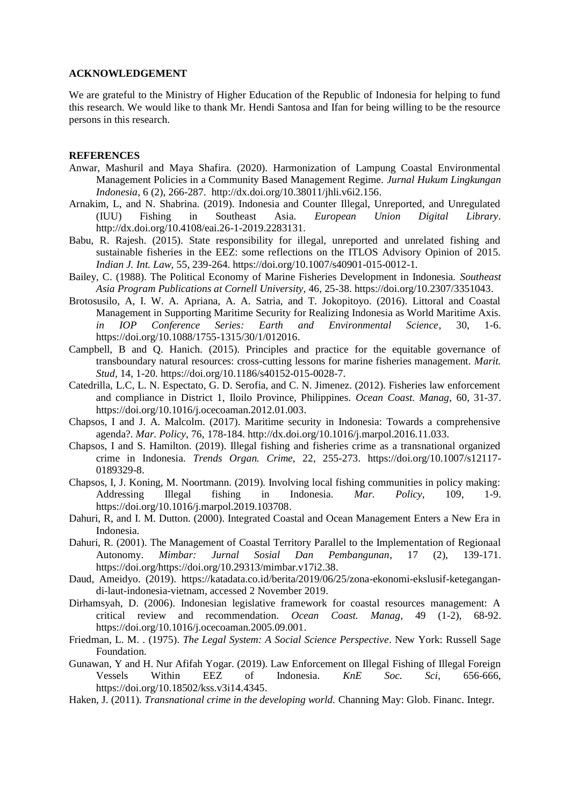#### **ACKNOWLEDGEMENT**

We are grateful to the Ministry of Higher Education of the Republic of Indonesia for helping to fund this research. We would like to thank Mr. Hendi Santosa and Ifan for being willing to be the resource persons in this research.

#### **REFERENCES**

- Anwar, Mashuril and Maya Shafira. (2020). Harmonization of Lampung Coastal Environmental Management Policies in a Community Based Management Regime. *Jurnal Hukum Lingkungan Indonesia*, 6 (2), 266-287. [http://dx.doi.org/10.38011/jhli.v6i2.156.](http://dx.doi.org/10.38011/jhli.v6i2.156)
- Arnakim, L, and N. Shabrina. (2019). Indonesia and Counter Illegal, Unreported, and Unregulated (IUU) Fishing in Southeast Asia. *European Union Digital Library*. [http://dx.doi.org/10.4108/eai.26-1-2019.2283131.](http://dx.doi.org/10.4108/eai.26-1-2019.2283131)
- Babu, R. Rajesh. (2015). State responsibility for illegal, unreported and unrelated fishing and sustainable fisheries in the EEZ: some reflections on the ITLOS Advisory Opinion of 2015. *Indian J. Int. Law,* 55, 239-264. <https://doi.org/10.1007/s40901-015-0012-1>*.*
- Bailey, C. (1988). The Political Economy of Marine Fisheries Development in Indonesia. *Southeast Asia Program Publications at Cornell University*, 46, 25-38. [https://doi.org/10.2307/3351043.](https://doi.org/10.2307/3351043)
- Brotosusilo, A, I. W. A. Apriana, A. A. Satria, and T. Jokopitoyo. (2016). Littoral and Coastal Management in Supporting Maritime Security for Realizing Indonesia as World Maritime Axis. *in IOP Conference Series: Earth and Environmental Science,* 30, 1-6. [https://doi.org/10.1088/1755-1315/30/1/012016.](https://doi.org/10.1088/1755-1315/30/1/012016)
- Campbell, B and Q. Hanich. (2015). Principles and practice for the equitable governance of transboundary natural resources: cross-cutting lessons for marine fisheries management. *Marit. Stud,* 14, 1-20. [https://doi.org/10.1186/s40152-015-0028-7.](https://doi.org/10.1186/s40152-015-0028-7)
- Catedrilla, L.C, L. N. Espectato, G. D. Serofia, and C. N. Jimenez. (2012). Fisheries law enforcement and compliance in District 1, Iloilo Province, Philippines. *Ocean Coast. Manag,* 60, 31-37. [https://doi.org/10.1016/j.ocecoaman.2012.01.003.](https://doi.org/10.1016/j.ocecoaman.2012.01.003)
- Chapsos, I and J. A. Malcolm. (2017). Maritime security in Indonesia: Towards a comprehensive agenda?. *Mar. Policy*, 76, 178-184. http://dx.doi.org/10.1016/j.marpol.2016.11.033.
- Chapsos, I and S. Hamilton. (2019). Illegal fishing and fisheries crime as a transnational organized crime in Indonesia. *Trends Organ. Crime*, 22, 255-273. [https://doi.org/10.1007/s12117-](https://doi.org/10.1007/s12117-0189329-8) [0189329-8.](https://doi.org/10.1007/s12117-0189329-8)
- Chapsos, I, J. Koning, M. Noortmann. (2019). Involving local fishing communities in policy making: Addressing Illegal fishing in Indonesia. *Mar. Policy,* 109, 1-9. [https://doi.org/10.1016/j.marpol.2019.103708.](https://doi.org/10.1016/j.marpol.2019.103708)
- Dahuri, R, and I. M. Dutton. (2000). Integrated Coastal and Ocean Management Enters a New Era in Indonesia.
- Dahuri, R. (2001). The Management of Coastal Territory Parallel to the Implementation of Regionaal Autonomy. *Mimbar: Jurnal Sosial Dan Pembangunan*, 17 (2), 139-171. [https://doi.org/https://doi.org/10.29313/mimbar.v17i2.38.](https://doi.org/https:/doi.org/10.29313/mimbar.v17i2.38)
- Daud, Ameidyo. (2019). [https://katadata.co.id/berita/2019/06/25/zona-ekonomi-ekslusif-ketegangan](https://katadata.co.id/berita/2019/06/25/zona-ekonomi-ekslusif-ketegangan-di-laut-indonesia-vietnam)[di-laut-indonesia-vietnam,](https://katadata.co.id/berita/2019/06/25/zona-ekonomi-ekslusif-ketegangan-di-laut-indonesia-vietnam) accessed 2 November 2019.
- Dirhamsyah, D. (2006). Indonesian legislative framework for coastal resources management: A critical review and recommendation. *Ocean Coast. Manag,* 49 (1-2), 68-92. [https://doi.org/10.1016/j.ocecoaman.2005.09.001.](https://doi.org/10.1016/j.ocecoaman.2005.09.001)
- Friedman, L. M. . (1975). *The Legal System: A Social Science Perspective*. New York: Russell Sage Foundation.
- Gunawan, Y and H. Nur Afifah Yogar. (2019). Law Enforcement on Illegal Fishing of Illegal Foreign Vessels Within EEZ of Indonesia. *KnE Soc. Sci*, 656-666, [https://doi.org/10.18502/kss.v3i14.4345.](https://doi.org/10.18502/kss.v3i14.4345)
- Haken, J. (2011). *Transnational crime in the developing world.* Channing May: Glob. Financ. Integr.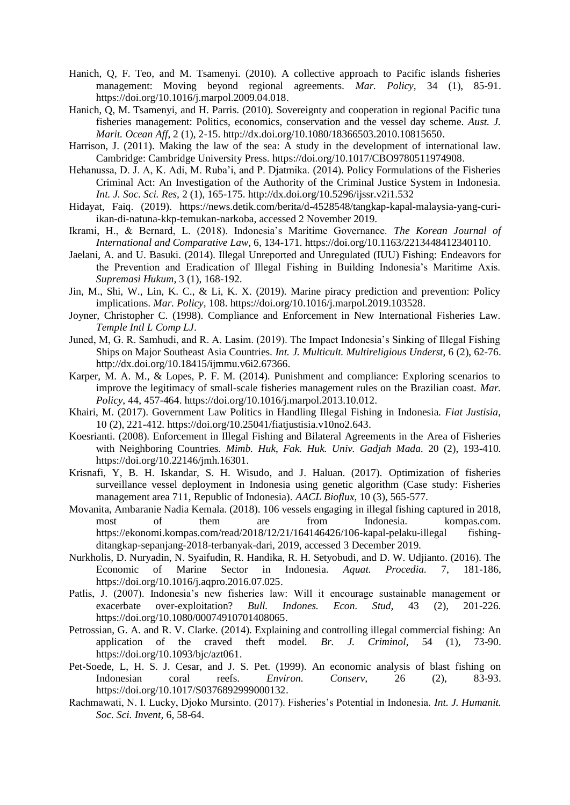- Hanich, Q, F. Teo, and M. Tsamenyi. (2010). A collective approach to Pacific islands fisheries management: Moving beyond regional agreements. *Mar. Policy,* 34 (1), 85-91. [https://doi.org/10.1016/j.marpol.2009.04.018.](https://doi.org/10.1016/j.marpol.2009.04.018)
- Hanich, Q, M. Tsamenyi, and H. Parris. (2010). Sovereignty and cooperation in regional Pacific tuna fisheries management: Politics, economics, conservation and the vessel day scheme. *Aust. J. Marit. Ocean Aff*, 2 (1), 2-15. [http://dx.doi.org/10.1080/18366503.2010.10815650.](http://dx.doi.org/10.1080/18366503.2010.10815650)
- Harrison, J. (2011). Making the law of the sea: A study in the development of international law. Cambridge: Cambridge University Press. [https://doi.org/10.1017/CBO9780511974908.](https://doi.org/10.1017/CBO9780511974908)
- Hehanussa, D. J. A, K. Adi, M. Ruba'i, and P. Djatmika. (2014). Policy Formulations of the Fisheries Criminal Act: An Investigation of the Authority of the Criminal Justice System in Indonesia. *Int. J. Soc. Sci. Res,* 2 (1), 165-175. <http://dx.doi.org/10.5296/ijssr.v2i1.532>
- Hidayat, Faiq. (2019). [https://news.detik.com/berita/d-4528548/tangkap-kapal-malaysia-yang-curi](https://news.detik.com/berita/d-4528548/tangkap-kapal-malaysia-yang-curi-ikan-di-natuna-kkp-temukan-narkoba)[ikan-di-natuna-kkp-temukan-narkoba,](https://news.detik.com/berita/d-4528548/tangkap-kapal-malaysia-yang-curi-ikan-di-natuna-kkp-temukan-narkoba) accessed 2 November 2019.
- Ikrami, H., & Bernard, L. (2018). Indonesia's Maritime Governance. *The Korean Journal of International and Comparative Law,* 6, 134-171. [https://doi.org/10.1163/2213448412340110.](https://doi.org/10.1163/2213448412340110)
- Jaelani, A. and U. Basuki. (2014). Illegal Unreported and Unregulated (IUU) Fishing: Endeavors for the Prevention and Eradication of Illegal Fishing in Building Indonesia's Maritime Axis. *Supremasi Hukum,* 3 (1), 168-192.
- Jin, M., Shi, W., Lin, K. C., & Li, K. X. (2019). Marine piracy prediction and prevention: Policy implications. *Mar. Policy,* 108. [https://doi.org/10.1016/j.marpol.2019.103528.](https://doi.org/10.1016/j.marpol.2019.103528)
- Joyner, Christopher C. (1998). Compliance and Enforcement in New International Fisheries Law. *Temple Intl L Comp LJ*.
- Juned, M, G. R. Samhudi, and R. A. Lasim. (2019). The Impact Indonesia's Sinking of Illegal Fishing Ships on Major Southeast Asia Countries. *Int. J. Multicult. Multireligious Underst*, 6 (2), 62-76. [http://dx.doi.org/10.18415/ijmmu.v6i2.67366.](http://dx.doi.org/10.18415/ijmmu.v6i2.67366)
- Karper, M. A. M., & Lopes, P. F. M. (2014). Punishment and compliance: Exploring scenarios to improve the legitimacy of small-scale fisheries management rules on the Brazilian coast. *Mar. Policy*, 44, 457-464. [https://doi.org/10.1016/j.marpol.2013.10.012.](https://doi.org/10.1016/j.marpol.2013.10.012)
- Khairi, M. (2017). Government Law Politics in Handling Illegal Fishing in Indonesia*. Fiat Justisia*, 10 (2), 221-412. [https://doi.org/10.25041/fiatjustisia.v10no2.643.](https://doi.org/10.25041/fiatjustisia.v10no2.643)
- Koesrianti. (2008). Enforcement in Illegal Fishing and Bilateral Agreements in the Area of Fisheries with Neighboring Countries. *Mimb. Huk*, *Fak. Huk. Univ. Gadjah Mada.* 20 (2), 193-410. [https://doi.org/10.22146/jmh.16301.](https://doi.org/10.22146/jmh.16301)
- Krisnafi, Y, B. H. Iskandar, S. H. Wisudo, and J. Haluan. (2017). Optimization of fisheries surveillance vessel deployment in Indonesia using genetic algorithm (Case study: Fisheries management area 711, Republic of Indonesia). *AACL Bioflux,* 10 (3), 565-577.
- Movanita, Ambaranie Nadia Kemala. (2018). 106 vessels engaging in illegal fishing captured in 2018, most of them are from Indonesia. kompas.com. [https://ekonomi.kompas.com/read/2018/12/21/164146426/106-kapal-pelaku-illegal fishing](https://ekonomi.kompas.com/read/2018/12/21/164146426/106-kapal-pelaku-illegal%20fishing-ditangkap-sepanjang-2018-terbanyak-dari)[ditangkap-sepanjang-2018-terbanyak-dari,](https://ekonomi.kompas.com/read/2018/12/21/164146426/106-kapal-pelaku-illegal%20fishing-ditangkap-sepanjang-2018-terbanyak-dari) 2019, accessed 3 December 2019.
- Nurkholis, D. Nuryadin, N. Syaifudin, R. Handika, R. H. Setyobudi, and D. W. Udjianto. (2016). The Economic of Marine Sector in Indonesia. *Aquat. Procedia.* 7, 181-186, [https://doi.org/10.1016/j.aqpro.2016.07.025.](https://doi.org/10.1016/j.aqpro.2016.07.025)
- Patlis, J. (2007). Indonesia's new fisheries law: Will it encourage sustainable management or exacerbate over-exploitation? *Bull. Indones. Econ. Stud,* 43 (2), 201-226. [https://doi.org/10.1080/00074910701408065.](https://doi.org/10.1080/00074910701408065)
- Petrossian, G. A. and R. V. Clarke. (2014). Explaining and controlling illegal commercial fishing: An application of the craved theft model. *Br. J. Criminol*, 54 (1), 73-90. [https://doi.org/10.1093/bjc/azt061.](https://doi.org/10.1093/bjc/azt061)
- Pet-Soede, L, H. S. J. Cesar, and J. S. Pet. (1999). An economic analysis of blast fishing on Indonesian coral reefs. *Environ. Conserv,* 26 (2), 83-93. [https://doi.org/10.1017/S0376892999000132.](https://doi.org/10.1017/S0376892999000132)
- Rachmawati, N. I. Lucky, Djoko Mursinto. (2017). Fisheries's Potential in Indonesia. *Int. J. Humanit. Soc. Sci. Invent*, 6, 58-64.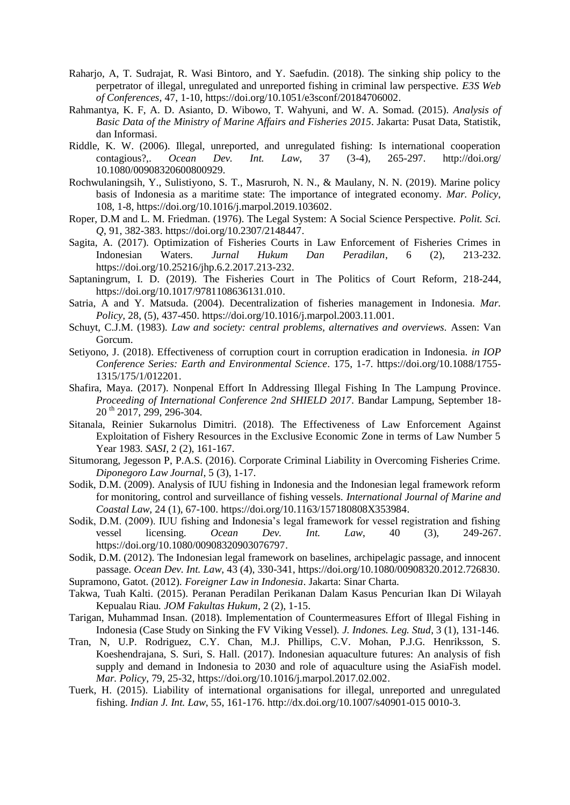- Raharjo, A, T. Sudrajat, R. Wasi Bintoro, and Y. Saefudin. (2018). The sinking ship policy to the perpetrator of illegal, unregulated and unreported fishing in criminal law perspective. *E3S Web of Conferences,* 47, 1-10, [https://doi.org/10.1051/e3sconf/20184706002.](https://doi.org/10.1051/e3sconf/20184706002)
- Rahmantya, K. F, A. D. Asianto, D. Wibowo, T. Wahyuni, and W. A. Somad. (2015). *Analysis of Basic Data of the Ministry of Marine Affairs and Fisheries 2015*. Jakarta: Pusat Data, Statistik, dan Informasi.
- Riddle, K. W. (2006). Illegal, unreported, and unregulated fishing: Is international cooperation contagious?,. *Ocean Dev. Int. Law*, 37 (3-4), 265-297. http://doi.org/ 10.1080/00908320600800929.
- Rochwulaningsih, Y., Sulistiyono, S. T., Masruroh, N. N., & Maulany, N. N. (2019). Marine policy basis of Indonesia as a maritime state: The importance of integrated economy. *Mar. Policy*, 108, 1-8, [https://doi.org/10.1016/j.marpol.2019.103602.](https://doi.org/10.1016/j.marpol.2019.103602)
- Roper, D.M and L. M. Friedman. (1976). The Legal System: A Social Science Perspective. *Polit. Sci. Q*, 91, 382-383. [https://doi.org/10.2307/2148447.](https://doi.org/10.2307/2148447)
- Sagita, A. (2017). Optimization of Fisheries Courts in Law Enforcement of Fisheries Crimes in Indonesian Waters. *Jurnal Hukum Dan Peradilan*, 6 (2), 213-232. [https://doi.org/10.25216/jhp.6.2.2017.213-232.](https://doi.org/10.25216/jhp.6.2.2017.213-232)
- Saptaningrum, I. D. (2019). The Fisheries Court in The Politics of Court Reform, 218-244, [https://doi.org/10.1017/9781108636131.010.](https://doi.org/10.1017/9781108636131.010)
- Satria, A and Y. Matsuda. (2004). Decentralization of fisheries management in Indonesia. *Mar. Policy,* 28, (5), 437-450. https://doi.org/10.1016/j.marpol.2003.11.001.
- Schuyt, C.J.M. (1983). *Law and society: central problems, alternatives and overviews.* Assen: Van Gorcum.
- Setiyono, J. (2018). Effectiveness of corruption court in corruption eradication in Indonesia. *in IOP Conference Series: Earth and Environmental Science*. 175, 1-7. [https://doi.org/10.1088/1755-](https://doi.org/10.1088/1755-1315/175/1/012201) [1315/175/1/012201.](https://doi.org/10.1088/1755-1315/175/1/012201)
- Shafira, Maya. (2017). Nonpenal Effort In Addressing Illegal Fishing In The Lampung Province. *Proceeding of International Conference 2nd SHIELD 2017.* Bandar Lampung, September 18- 20 th 2017, 299, 296-304.
- Sitanala, Reinier Sukarnolus Dimitri. (2018). The Effectiveness of Law Enforcement Against Exploitation of Fishery Resources in the Exclusive Economic Zone in terms of Law Number 5 Year 1983*. SASI*, 2 (2), 161-167.
- Situmorang, Jegesson P, P.A.S. (2016). Corporate Criminal Liability in Overcoming Fisheries Crime. *Diponegoro Law Journal*, 5 (3), 1-17.
- Sodik, D.M. (2009). Analysis of IUU fishing in Indonesia and the Indonesian legal framework reform for monitoring, control and surveillance of fishing vessels. *International Journal of Marine and Coastal Law,* 24 (1), 67-100. [https://doi.org/10.1163/157180808X353984.](https://doi.org/10.1163/157180808X353984)
- Sodik, D.M. (2009). IUU fishing and Indonesia's legal framework for vessel registration and fishing vessel licensing. *Ocean Dev. Int. Law*, 40 (3), 249-267. [https://doi.org/10.1080/00908320903076797.](https://doi.org/10.1080/00908320903076797)
- Sodik, D.M. (2012). The Indonesian legal framework on baselines, archipelagic passage, and innocent passage. *Ocean Dev. Int. Law*, 43 (4), 330-341, [https://doi.org/10.1080/00908320.2012.726830.](https://doi.org/10.1080/00908320.2012.726830) Supramono, Gatot. (2012). *Foreigner Law in Indonesia*. Jakarta: Sinar Charta.

- Takwa, Tuah Kalti. (2015). Peranan Peradilan Perikanan Dalam Kasus Pencurian Ikan Di Wilayah Kepualau Riau*. JOM Fakultas Hukum*, 2 (2), 1-15.
- Tarigan, Muhammad Insan. (2018). Implementation of Countermeasures Effort of Illegal Fishing in Indonesia (Case Study on Sinking the FV Viking Vessel). *J. Indones. Leg. Stud*, 3 (1), 131-146.
- Tran, N, U.P. Rodriguez, C.Y. Chan, M.J. Phillips, C.V. Mohan, P.J.G. Henriksson, S. Koeshendrajana, S. Suri, S. Hall. (2017). Indonesian aquaculture futures: An analysis of fish supply and demand in Indonesia to 2030 and role of aquaculture using the AsiaFish model. *Mar. Policy*, 79, 25-32, [https://doi.org/10.1016/j.marpol.2017.02.002.](https://doi.org/10.1016/j.marpol.2017.02.002)
- Tuerk, H. (2015). Liability of international organisations for illegal, unreported and unregulated fishing. *Indian J. Int. Law*, 55, 161-176. [http://dx.doi.org/10.1007/s40901-015](http://dx.doi.org/10.1007/s40901-015-0010-3) 0010-3.